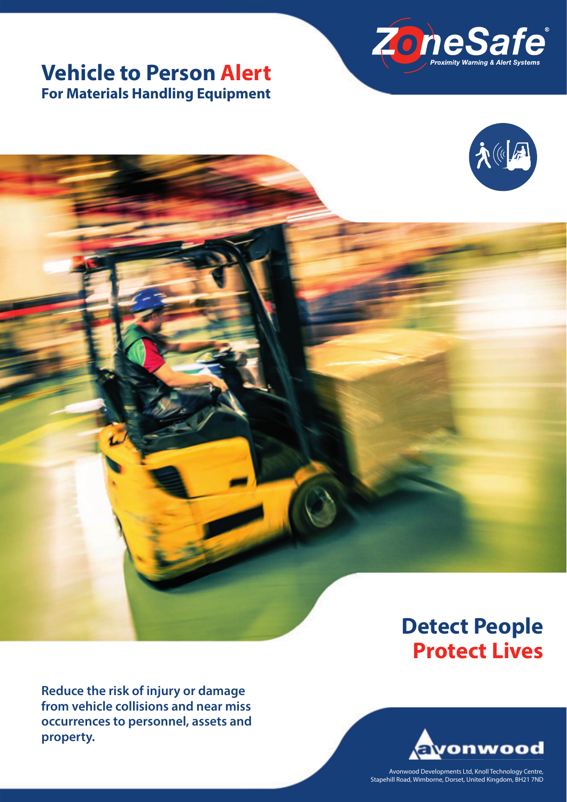## **Vehicle to Person Alert For Materials Handling Equipment**





## **Detect People Protect Lives**

**Reduce the risk of injury or damage from vehicle collisions and near miss occurrences to personnel, assets and property.**



Avonwood Developments Ltd, Knoll Technology Centre, Stapehill Road, Wimborne, Dorset, United Kingdom, BH21 7ND